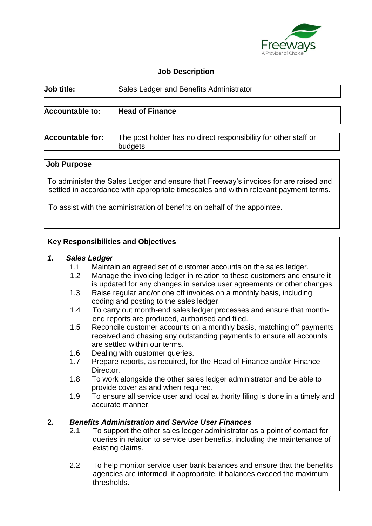

## **Job Description**

| <b>Job title:</b>       | Sales Ledger and Benefits Administrator                                    |
|-------------------------|----------------------------------------------------------------------------|
| <b>Accountable to:</b>  | <b>Head of Finance</b>                                                     |
| <b>Accountable for:</b> | The post holder has no direct responsibility for other staff or<br>budgets |
| <b>Joh Durnoco</b>      |                                                                            |

#### **Job Purpose**

To administer the Sales Ledger and ensure that Freeway's invoices for are raised and settled in accordance with appropriate timescales and within relevant payment terms.

To assist with the administration of benefits on behalf of the appointee.

### **Key Responsibilities and Objectives**

#### *1. Sales Ledger*

- 1.1 Maintain an agreed set of customer accounts on the sales ledger.
- 1.2 Manage the invoicing ledger in relation to these customers and ensure it is updated for any changes in service user agreements or other changes.
- 1.3 Raise regular and/or one off invoices on a monthly basis, including coding and posting to the sales ledger.
- 1.4 To carry out month-end sales ledger processes and ensure that monthend reports are produced, authorised and filed.
- 1.5 Reconcile customer accounts on a monthly basis, matching off payments received and chasing any outstanding payments to ensure all accounts are settled within our terms.
- 1.6 Dealing with customer queries.
- 1.7 Prepare reports, as required, for the Head of Finance and/or Finance Director.
- 1.8 To work alongside the other sales ledger administrator and be able to provide cover as and when required.
- 1.9 To ensure all service user and local authority filing is done in a timely and accurate manner.

## **2.** *Benefits Administration and Service User Finances*

- 2.1 To support the other sales ledger administrator as a point of contact for queries in relation to service user benefits, including the maintenance of existing claims.
- 2.2 To help monitor service user bank balances and ensure that the benefits agencies are informed, if appropriate, if balances exceed the maximum thresholds.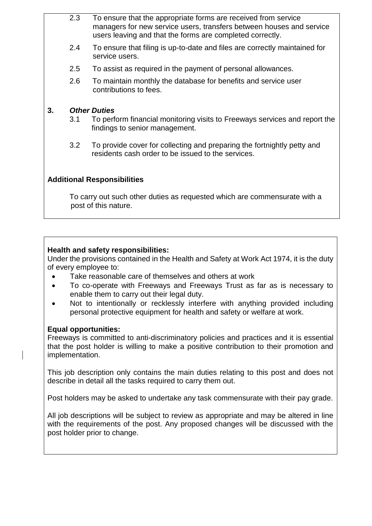- 2.3 To ensure that the appropriate forms are received from service managers for new service users, transfers between houses and service users leaving and that the forms are completed correctly.
- 2.4 To ensure that filing is up-to-date and files are correctly maintained for service users.
- 2.5 To assist as required in the payment of personal allowances.
- 2.6 To maintain monthly the database for benefits and service user contributions to fees.

## **3.** *Other Duties*

- 3.1 To perform financial monitoring visits to Freeways services and report the findings to senior management.
- 3.2 To provide cover for collecting and preparing the fortnightly petty and residents cash order to be issued to the services.

# **Additional Responsibilities**

To carry out such other duties as requested which are commensurate with a post of this nature.

## **Health and safety responsibilities:**

Under the provisions contained in the Health and Safety at Work Act 1974, it is the duty of every employee to:

- Take reasonable care of themselves and others at work
- To co-operate with Freeways and Freeways Trust as far as is necessary to enable them to carry out their legal duty.
- Not to intentionally or recklessly interfere with anything provided including personal protective equipment for health and safety or welfare at work.

## **Equal opportunities:**

Freeways is committed to anti-discriminatory policies and practices and it is essential that the post holder is willing to make a positive contribution to their promotion and implementation.

This job description only contains the main duties relating to this post and does not describe in detail all the tasks required to carry them out.

Post holders may be asked to undertake any task commensurate with their pay grade.

All job descriptions will be subject to review as appropriate and may be altered in line with the requirements of the post. Any proposed changes will be discussed with the post holder prior to change.